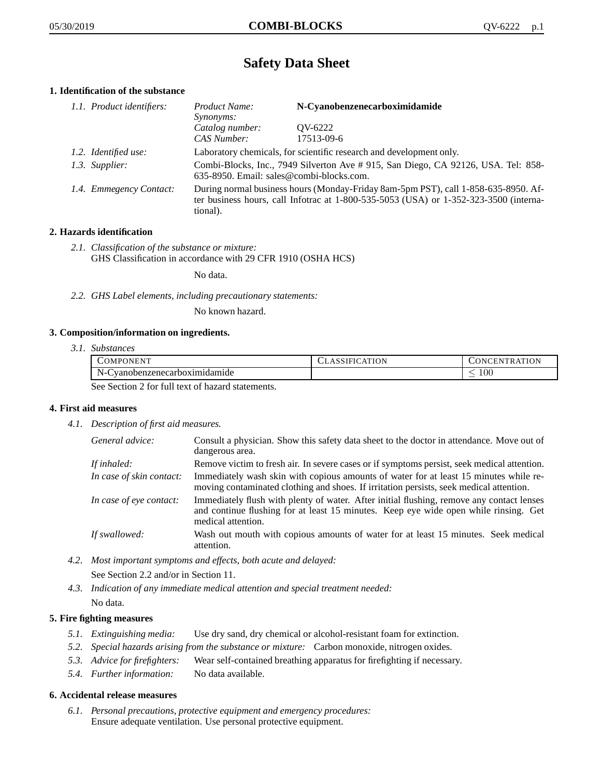# **Safety Data Sheet**

# **1. Identification of the substance**

| 1.1. Product identifiers: | <i>Product Name:</i>                                                                                                                                                                        | N-Cyanobenzenecarboximidamide |
|---------------------------|---------------------------------------------------------------------------------------------------------------------------------------------------------------------------------------------|-------------------------------|
|                           | <i>Synonyms:</i>                                                                                                                                                                            |                               |
|                           | Catalog number:<br>CAS Number:                                                                                                                                                              | OV-6222<br>17513-09-6         |
|                           |                                                                                                                                                                                             |                               |
| 1.2. Identified use:      | Laboratory chemicals, for scientific research and development only.                                                                                                                         |                               |
| 1.3. Supplier:            | Combi-Blocks, Inc., 7949 Silverton Ave # 915, San Diego, CA 92126, USA. Tel: 858-<br>635-8950. Email: sales@combi-blocks.com.                                                               |                               |
| 1.4. Emmegency Contact:   | During normal business hours (Monday-Friday 8am-5pm PST), call 1-858-635-8950. Af-<br>ter business hours, call Infotrac at $1-800-535-5053$ (USA) or $1-352-323-3500$ (interna-<br>tional). |                               |

# **2. Hazards identification**

*2.1. Classification of the substance or mixture:* GHS Classification in accordance with 29 CFR 1910 (OSHA HCS)

No data.

*2.2. GHS Label elements, including precautionary statements:*

No known hazard.

# **3. Composition/information on ingredients.**

*3.1. Substances*

| COMPONENT                                                                                                                                                                                     | <b>CLASSIFICATION</b> | <b>CONCENTRATION</b> |
|-----------------------------------------------------------------------------------------------------------------------------------------------------------------------------------------------|-----------------------|----------------------|
| $N-$<br>Cyanobenzenecarboximidamide                                                                                                                                                           |                       | 100                  |
| $\alpha_{12}$ , $\alpha_{21}$ , $\alpha_{32}$ , $\alpha_{41}$ , $\alpha_{51}$ , $\alpha_{61}$ , $\alpha_{71}$ , $\alpha_{81}$ , $\alpha_{10}$ , $\alpha_{11}$ , $\alpha_{12}$ , $\alpha_{13}$ |                       |                      |

See Section 2 for full text of hazard statements.

# **4. First aid measures**

*4.1. Description of first aid measures.*

| General advice:          | Consult a physician. Show this safety data sheet to the doctor in attendance. Move out of<br>dangerous area.                                                                                            |
|--------------------------|---------------------------------------------------------------------------------------------------------------------------------------------------------------------------------------------------------|
| If inhaled:              | Remove victim to fresh air. In severe cases or if symptoms persist, seek medical attention.                                                                                                             |
| In case of skin contact: | Immediately wash skin with copious amounts of water for at least 15 minutes while re-<br>moving contaminated clothing and shoes. If irritation persists, seek medical attention.                        |
| In case of eye contact:  | Immediately flush with plenty of water. After initial flushing, remove any contact lenses<br>and continue flushing for at least 15 minutes. Keep eye wide open while rinsing. Get<br>medical attention. |
| If swallowed:            | Wash out mouth with copious amounts of water for at least 15 minutes. Seek medical<br>attention.                                                                                                        |

*4.2. Most important symptoms and effects, both acute and delayed:*

See Section 2.2 and/or in Section 11.

*4.3. Indication of any immediate medical attention and special treatment needed:* No data.

# **5. Fire fighting measures**

- *5.1. Extinguishing media:* Use dry sand, dry chemical or alcohol-resistant foam for extinction.
- *5.2. Special hazards arising from the substance or mixture:* Carbon monoxide, nitrogen oxides.
- *5.3. Advice for firefighters:* Wear self-contained breathing apparatus for firefighting if necessary.
- *5.4. Further information:* No data available.

# **6. Accidental release measures**

*6.1. Personal precautions, protective equipment and emergency procedures:* Ensure adequate ventilation. Use personal protective equipment.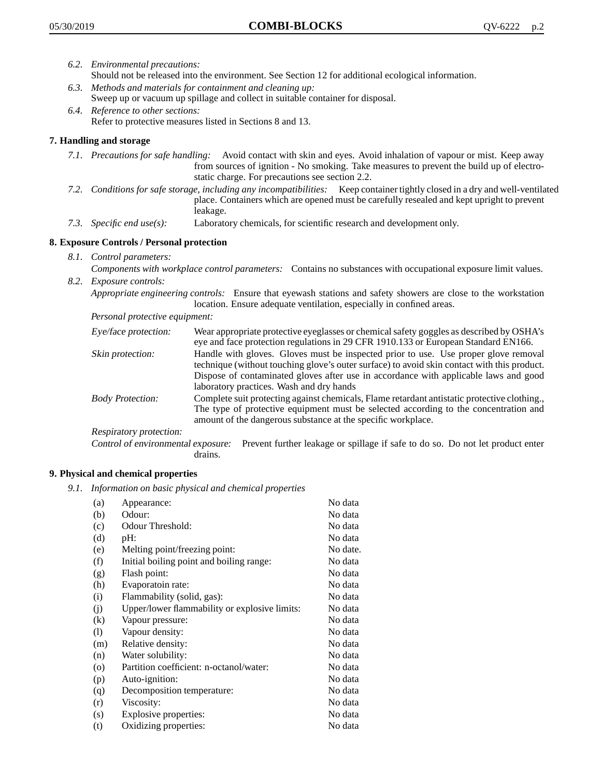- *6.2. Environmental precautions:* Should not be released into the environment. See Section 12 for additional ecological information.
- *6.3. Methods and materials for containment and cleaning up:* Sweep up or vacuum up spillage and collect in suitable container for disposal.
- *6.4. Reference to other sections:* Refer to protective measures listed in Sections 8 and 13.

# **7. Handling and storage**

- *7.1. Precautions for safe handling:* Avoid contact with skin and eyes. Avoid inhalation of vapour or mist. Keep away from sources of ignition - No smoking. Take measures to prevent the build up of electrostatic charge. For precautions see section 2.2.
- *7.2. Conditions for safe storage, including any incompatibilities:* Keep container tightly closed in a dry and well-ventilated place. Containers which are opened must be carefully resealed and kept upright to prevent leakage.
- *7.3. Specific end use(s):* Laboratory chemicals, for scientific research and development only.

# **8. Exposure Controls / Personal protection**

- *8.1. Control parameters:*
- *Components with workplace control parameters:* Contains no substances with occupational exposure limit values. *8.2. Exposure controls:*

*Appropriate engineering controls:* Ensure that eyewash stations and safety showers are close to the workstation location. Ensure adequate ventilation, especially in confined areas.

*Personal protective equipment:*

| Eye/face protection:    | Wear appropriate protective eyeglasses or chemical safety goggles as described by OSHA's<br>eye and face protection regulations in 29 CFR 1910.133 or European Standard EN166.                                                                                                                                         |
|-------------------------|------------------------------------------------------------------------------------------------------------------------------------------------------------------------------------------------------------------------------------------------------------------------------------------------------------------------|
| Skin protection:        | Handle with gloves. Gloves must be inspected prior to use. Use proper glove removal<br>technique (without touching glove's outer surface) to avoid skin contact with this product.<br>Dispose of contaminated gloves after use in accordance with applicable laws and good<br>laboratory practices. Wash and dry hands |
| <b>Body Protection:</b> | Complete suit protecting against chemicals, Flame retardant antistatic protective clothing.,<br>The type of protective equipment must be selected according to the concentration and<br>amount of the dangerous substance at the specific workplace.                                                                   |
| Respiratory protection: |                                                                                                                                                                                                                                                                                                                        |

Control of environmental exposure: Prevent further leakage or spillage if safe to do so. Do not let product enter drains.

# **9. Physical and chemical properties**

*9.1. Information on basic physical and chemical properties*

| (a)               | Appearance:                                   | No data  |
|-------------------|-----------------------------------------------|----------|
| (b)               | Odour:                                        | No data  |
| (c)               | Odour Threshold:                              | No data  |
| (d)               | pH:                                           | No data  |
| (e)               | Melting point/freezing point:                 | No date. |
| (f)               | Initial boiling point and boiling range:      | No data  |
| (g)               | Flash point:                                  | No data  |
| (h)               | Evaporatoin rate:                             | No data  |
| (i)               | Flammability (solid, gas):                    | No data  |
| (j)               | Upper/lower flammability or explosive limits: | No data  |
| $\left( k\right)$ | Vapour pressure:                              | No data  |
| (1)               | Vapour density:                               | No data  |
| (m)               | Relative density:                             | No data  |
| (n)               | Water solubility:                             | No data  |
| $\circ$           | Partition coefficient: n-octanol/water:       | No data  |
| (p)               | Auto-ignition:                                | No data  |
| (q)               | Decomposition temperature:                    | No data  |
| (r)               | Viscosity:                                    | No data  |
| (s)               | Explosive properties:                         | No data  |
| (t)               | Oxidizing properties:                         | No data  |